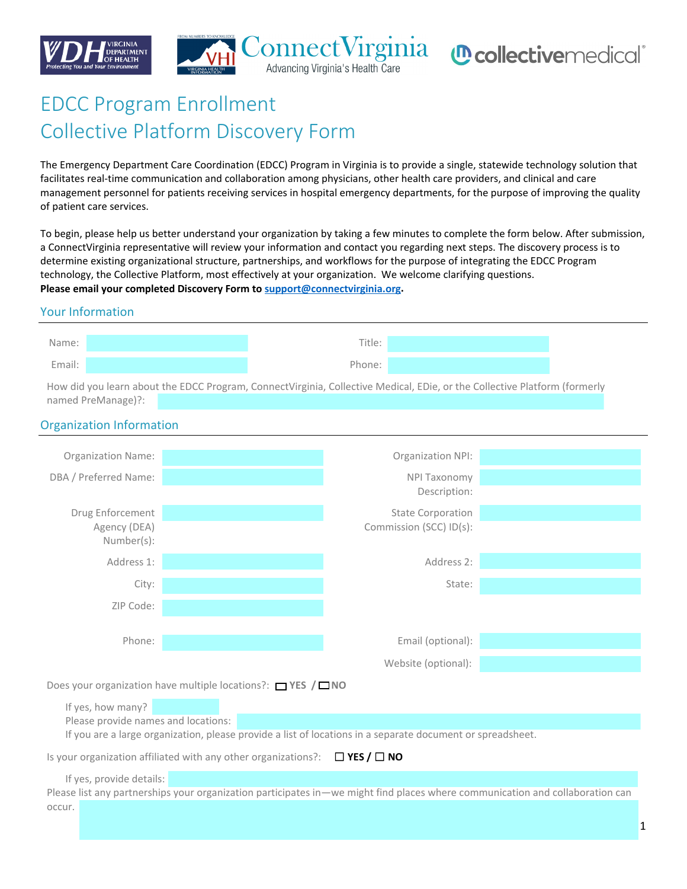





# EDCC Program Enrollment Collective Platform Discovery Form

The Emergency Department Care Coordination (EDCC) Program in Virginia is to provide a single, statewide technology solution that facilitates real-time communication and collaboration among physicians, other health care providers, and clinical and care management personnel for patients receiving services in hospital emergency departments, for the purpose of improving the quality of patient care services.

To begin, please help us better understand your organization by taking a few minutes to complete the form below. After submission, a ConnectVirginia representative will review your information and contact you regarding next steps. The discovery process is to determine existing organizational structure, partnerships, and workflows for the purpose of integrating the EDCC Program technology, the Collective Platform, most effectively at your organization. We welcome clarifying questions. **Please email your completed Discovery Form to [support@connectvirginia.org.](mailto:support@connectvirginia.org)** 

#### Your Information

| Name:  | Title:             |  |
|--------|--------------------|--|
| Email: | <sup>o</sup> hone: |  |

How did you learn about the EDCC Program, ConnectVirginia, Collective Medical, EDie, or the Collective Platform (formerly named PreManage)?:

#### Organization Information

| <b>Organization Name:</b>                                                                                                                                           |                                                                                                            | Organization NPI:                                   |  |  |  |
|---------------------------------------------------------------------------------------------------------------------------------------------------------------------|------------------------------------------------------------------------------------------------------------|-----------------------------------------------------|--|--|--|
| DBA / Preferred Name:                                                                                                                                               |                                                                                                            | <b>NPI Taxonomy</b>                                 |  |  |  |
|                                                                                                                                                                     |                                                                                                            | Description:                                        |  |  |  |
| Drug Enforcement<br>Agency (DEA)                                                                                                                                    |                                                                                                            | <b>State Corporation</b><br>Commission (SCC) ID(s): |  |  |  |
| Number(s):                                                                                                                                                          |                                                                                                            |                                                     |  |  |  |
| Address 1:                                                                                                                                                          |                                                                                                            | Address 2:                                          |  |  |  |
| City:                                                                                                                                                               |                                                                                                            | State:                                              |  |  |  |
| ZIP Code:                                                                                                                                                           |                                                                                                            |                                                     |  |  |  |
|                                                                                                                                                                     |                                                                                                            |                                                     |  |  |  |
| Phone:                                                                                                                                                              |                                                                                                            | Email (optional):                                   |  |  |  |
|                                                                                                                                                                     |                                                                                                            | Website (optional):                                 |  |  |  |
| Does your organization have multiple locations?: $\Box$ YES / $\Box$ NO                                                                                             |                                                                                                            |                                                     |  |  |  |
| If yes, how many?                                                                                                                                                   |                                                                                                            |                                                     |  |  |  |
| Please provide names and locations:                                                                                                                                 |                                                                                                            |                                                     |  |  |  |
|                                                                                                                                                                     | If you are a large organization, please provide a list of locations in a separate document or spreadsheet. |                                                     |  |  |  |
| $\Box$ YES / $\Box$ NO<br>Is your organization affiliated with any other organizations?:                                                                            |                                                                                                            |                                                     |  |  |  |
| If yes, provide details:<br>Please list any partnerships your organization participates in—we might find places where communication and collaboration can<br>occur. |                                                                                                            |                                                     |  |  |  |
|                                                                                                                                                                     |                                                                                                            |                                                     |  |  |  |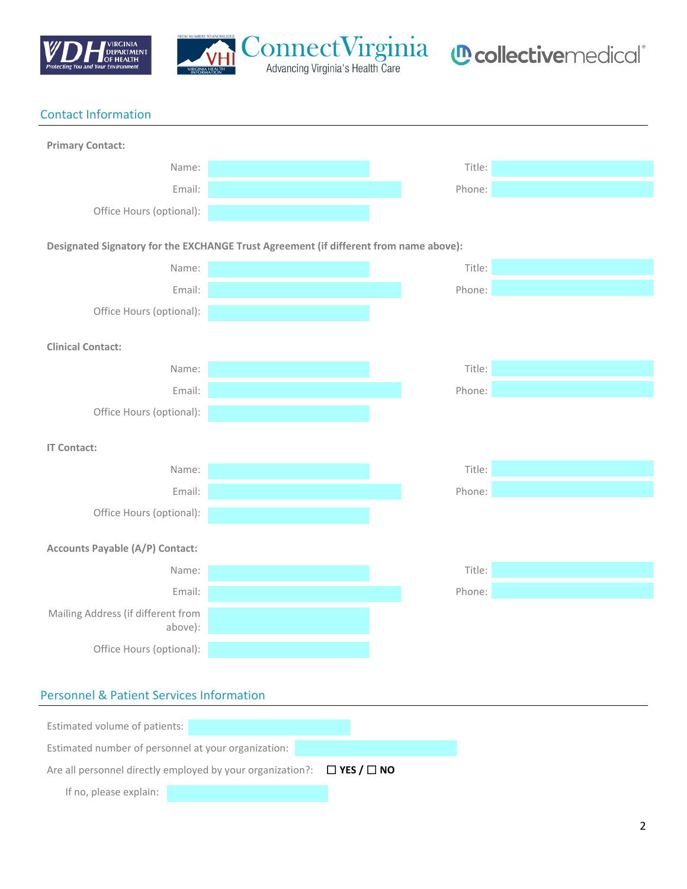



## Contact Information **Primary Contact:** Name: Title: The Contract of the Contract of the Contract of the Contract of the Contract of the Contract of the Contract of the Contract of the Contract of the Contract of the Contract of the Contract of the Contract of t Email: Phone: Office Hours (optional): **Designated Signatory for the EXCHANGE Trust Agreement (if different from name above):** Name: Title: The Contract of the Contract of the Contract of the Contract of the Contract of the Contract of the Contract of the Contract of the Contract of the Contract of the Contract of the Contract of the Contract of t Email: Phone: Office Hours (optional): **Clinical Contact:** Name: Title: The Contract of the Contract of the Contract of the Contract of the Contract of the Contract of the Contract of the Contract of the Contract of the Contract of the Contract of the Contract of the Contract of t Email: Phone: Office Hours (optional): **IT Contact:** Name: Title: The Contract of the Contract of the Contract of the Contract of the Contract of the Contract of the Contract of the Contract of the Contract of the Contract of the Contract of the Contract of the Contract of t Email: Phone: Office Hours (optional): **Accounts Payable (A/P) Contact:** Name: Title: The Contract of the Contract of the Contract of the Contract of the Contract of the Contract of the Contract of the Contract of the Contract of the Contract of the Contract of the Contract of the Contract of t Email: Phone: Mailing Address (if different from above): Office Hours (optional):

#### Personnel & Patient Services Information

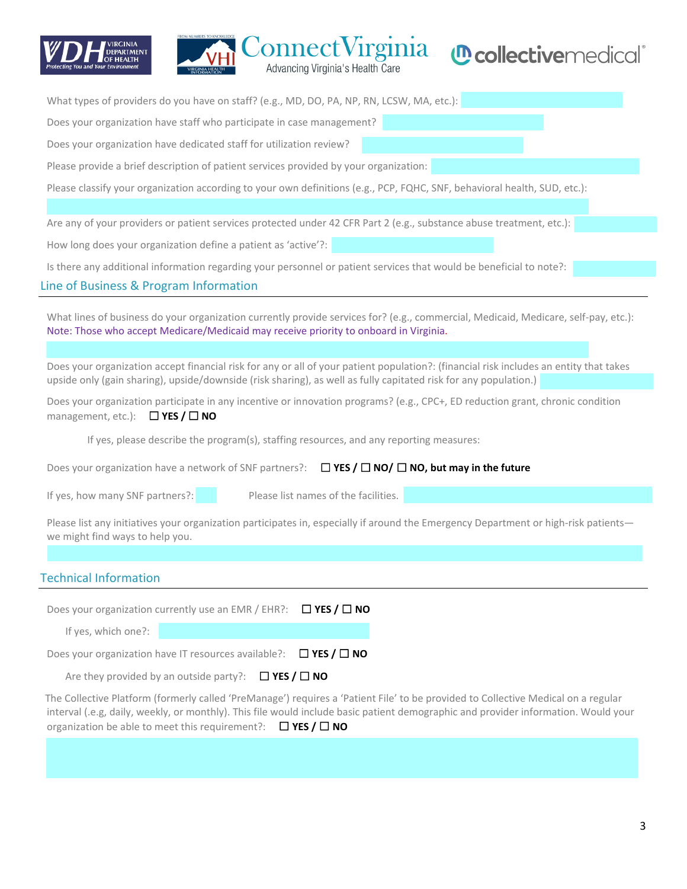



| What types of providers do you have on staff? (e.g., MD, DO, PA, NP, RN, LCSW, MA, etc.):                                                                                                                                                                                                                                                         |  |  |  |  |  |
|---------------------------------------------------------------------------------------------------------------------------------------------------------------------------------------------------------------------------------------------------------------------------------------------------------------------------------------------------|--|--|--|--|--|
| Does your organization have staff who participate in case management?                                                                                                                                                                                                                                                                             |  |  |  |  |  |
| Does your organization have dedicated staff for utilization review?                                                                                                                                                                                                                                                                               |  |  |  |  |  |
| Please provide a brief description of patient services provided by your organization:                                                                                                                                                                                                                                                             |  |  |  |  |  |
| Please classify your organization according to your own definitions (e.g., PCP, FQHC, SNF, behavioral health, SUD, etc.):                                                                                                                                                                                                                         |  |  |  |  |  |
|                                                                                                                                                                                                                                                                                                                                                   |  |  |  |  |  |
| Are any of your providers or patient services protected under 42 CFR Part 2 (e.g., substance abuse treatment, etc.):                                                                                                                                                                                                                              |  |  |  |  |  |
| How long does your organization define a patient as 'active'?:                                                                                                                                                                                                                                                                                    |  |  |  |  |  |
| Is there any additional information regarding your personnel or patient services that would be beneficial to note?:                                                                                                                                                                                                                               |  |  |  |  |  |
| Line of Business & Program Information                                                                                                                                                                                                                                                                                                            |  |  |  |  |  |
| What lines of business do your organization currently provide services for? (e.g., commercial, Medicaid, Medicare, self-pay, etc.):<br>Note: Those who accept Medicare/Medicaid may receive priority to onboard in Virginia.                                                                                                                      |  |  |  |  |  |
| Does your organization accept financial risk for any or all of your patient population?: (financial risk includes an entity that takes<br>upside only (gain sharing), upside/downside (risk sharing), as well as fully capitated risk for any population.)                                                                                        |  |  |  |  |  |
| Does your organization participate in any incentive or innovation programs? (e.g., CPC+, ED reduction grant, chronic condition<br>management, etc.): $\Box$ YES / $\Box$ NO                                                                                                                                                                       |  |  |  |  |  |
| If yes, please describe the program(s), staffing resources, and any reporting measures:                                                                                                                                                                                                                                                           |  |  |  |  |  |
| $\Box$ YES / $\Box$ NO/ $\Box$ NO, but may in the future<br>Does your organization have a network of SNF partners?:                                                                                                                                                                                                                               |  |  |  |  |  |
| Please list names of the facilities.<br>If yes, how many SNF partners?:                                                                                                                                                                                                                                                                           |  |  |  |  |  |
| Please list any initiatives your organization participates in, especially if around the Emergency Department or high-risk patients-<br>we might find ways to help you.                                                                                                                                                                            |  |  |  |  |  |
| <b>Technical Information</b>                                                                                                                                                                                                                                                                                                                      |  |  |  |  |  |
| $\Box$ YES / $\Box$ NO<br>Does your organization currently use an EMR / EHR?:                                                                                                                                                                                                                                                                     |  |  |  |  |  |
| If yes, which one?:                                                                                                                                                                                                                                                                                                                               |  |  |  |  |  |
| Does your organization have IT resources available?:<br>$\Box$ YES / $\Box$ NO                                                                                                                                                                                                                                                                    |  |  |  |  |  |
| Are they provided by an outside party?:<br>$\Box$ YES / $\Box$ NO                                                                                                                                                                                                                                                                                 |  |  |  |  |  |
| The Collective Platform (formerly called 'PreManage') requires a 'Patient File' to be provided to Collective Medical on a regular<br>interval (.e.g, daily, weekly, or monthly). This file would include basic patient demographic and provider information. Would your<br>organization be able to meet this requirement?: $\Box$ YES / $\Box$ NO |  |  |  |  |  |
|                                                                                                                                                                                                                                                                                                                                                   |  |  |  |  |  |